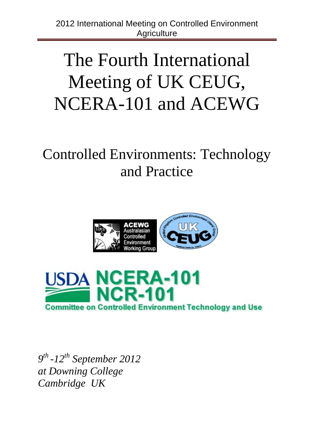# The Fourth International Meeting of UK CEUG, NCERA-101 and ACEWG

# Controlled Environments: Technology and Practice





*9th -12th September 2012 at Downing College Cambridge UK*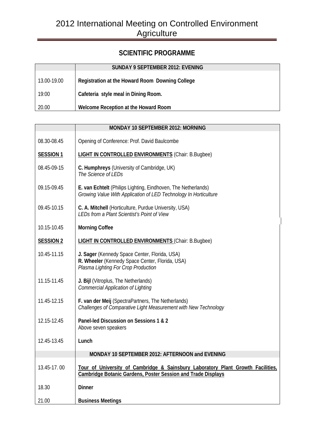# **SCIENTIFIC PROGRAMME**

|             | SUNDAY 9 SEPTEMBER 2012: EVENING                |
|-------------|-------------------------------------------------|
| 13.00-19.00 | Registration at the Howard Room Downing College |
| 19:00       | Cafeteria style meal in Dining Room.            |
| 20.00       | Welcome Reception at the Howard Room            |

|                  | MONDAY 10 SEPTEMBER 2012: MORNING                                                                                                                      |
|------------------|--------------------------------------------------------------------------------------------------------------------------------------------------------|
| 08.30-08.45      | Opening of Conference: Prof. David Baulcombe                                                                                                           |
| <b>SESSION 1</b> | <b>LIGHT IN CONTROLLED ENVIRONMENTS (Chair: B.Bugbee)</b>                                                                                              |
| 08.45-09-15      | C. Humphreys (University of Cambridge, UK)<br>The Science of LEDs                                                                                      |
| 09.15-09.45      | E. van Echtelt (Philips Lighting, Eindhoven, The Netherlands)<br>Growing Value With Application of LED Technology In Horticulture                      |
| 09.45-10.15      | C. A. Mitchell (Horticulture, Purdue University, USA)<br>LEDs from a Plant Scientist's Point of View                                                   |
| 10.15-10.45      | <b>Morning Coffee</b>                                                                                                                                  |
| <b>SESSION 2</b> | <b>LIGHT IN CONTROLLED ENVIRONMENTS (Chair: B.Bugbee)</b>                                                                                              |
| 10.45-11.15      | J. Sager (Kennedy Space Center, Florida, USA)<br>R. Wheeler (Kennedy Space Center, Florida, USA)<br>Plasma Lighting For Crop Production                |
| 11.15-11.45      | J. Bijl (Vitroplus, The Netherlands)<br><b>Commercial Application of Lighting</b>                                                                      |
| 11.45-12.15      | F. van der Meij (SpectraPartners, The Netherlands)<br>Challenges of Comparative Light Measurement with New Technology                                  |
| 12.15-12.45      | Panel-led Discussion on Sessions 1 & 2<br>Above seven speakers                                                                                         |
| 12.45-13.45      | Lunch                                                                                                                                                  |
|                  | MONDAY 10 SEPTEMBER 2012: AFTERNOON and EVENING                                                                                                        |
| 13.45-17.00      | Tour of University of Cambridge & Sainsbury Laboratory Plant Growth Facilities,<br><b>Cambridge Botanic Gardens, Poster Session and Trade Displays</b> |
| 18.30            | <b>Dinner</b>                                                                                                                                          |
| 21.00            | <b>Business Meetings</b>                                                                                                                               |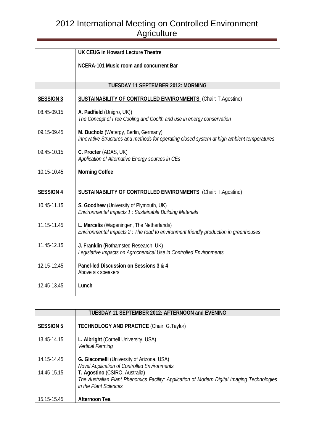|                  | UK CEUG in Howard Lecture Theatre                                                                                                   |
|------------------|-------------------------------------------------------------------------------------------------------------------------------------|
|                  | NCERA-101 Music room and concurrent Bar                                                                                             |
|                  |                                                                                                                                     |
|                  | TUESDAY 11 SEPTEMBER 2012: MORNING                                                                                                  |
| <b>SESSION 3</b> | <b>SUSTAINABILITY OF CONTROLLED ENVIRONMENTS</b> (Chair: T.Agostino)                                                                |
| 08.45-09.15      | A. Padfield (Unigro, UK))<br>The Concept of Free Cooling and Coolth and use in energy conservation                                  |
| 09.15-09.45      | M. Bucholz (Watergy, Berlin, Germany)<br>Innovative Structures and methods for operating closed system at high ambient temperatures |
| 09.45-10.15      | C. Procter (ADAS, UK)<br>Application of Alternative Energy sources in CEs                                                           |
| 10.15-10.45      | <b>Morning Coffee</b>                                                                                                               |
| <b>SESSION 4</b> | <b>SUSTAINABILITY OF CONTROLLED ENVIRONMENTS</b> (Chair: T.Agostino)                                                                |
| 10.45-11.15      | S. Goodhew (University of Plymouth, UK)<br>Environmental Impacts 1 : Sustainable Building Materials                                 |
| 11.15-11.45      | L. Marcelis (Wageningen, The Netherlands)<br>Environmental Impacts 2 : The road to environment friendly production in greenhouses   |
| 11.45-12.15      | J. Franklin (Rothamsted Research, UK)<br>Legislative Impacts on Agrochemical Use in Controlled Environments                         |
| 12.15-12.45      | Panel-led Discussion on Sessions 3 & 4<br>Above six speakers                                                                        |
| 12.45-13.45      | Lunch                                                                                                                               |

|                  | TUESDAY 11 SEPTEMBER 2012: AFTERNOON and EVENING                                                                                                       |
|------------------|--------------------------------------------------------------------------------------------------------------------------------------------------------|
| <b>SESSION 5</b> | TECHNOLOGY AND PRACTICE (Chair: G.Taylor)                                                                                                              |
| 13.45-14.15      | L. Albright (Cornell University, USA)<br>Vertical Farming                                                                                              |
| 14.15-14.45      | G. Giacomelli (University of Arizona, USA)<br><b>Novel Application of Controlled Environments</b>                                                      |
| 14.45-15.15      | T. Agostino (CSIRO, Australia)<br>The Australian Plant Phenomics Facility: Application of Modern Digital Imaging Technologies<br>in the Plant Sciences |
| 15.15-15.45      | <b>Afternoon Tea</b>                                                                                                                                   |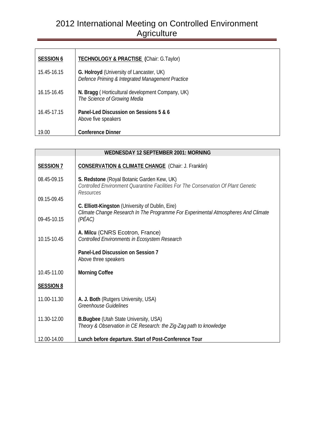| <b>SESSION 6</b> | <b>TECHNOLOGY &amp; PRACTISE (Chair: G.Taylor)</b>                                           |
|------------------|----------------------------------------------------------------------------------------------|
| 15.45-16.15      | G. Holroyd (University of Lancaster, UK)<br>Defence Priming & Integrated Management Practice |
| 16.15-16.45      | N. Bragg (Horticultural development Company, UK)<br>The Science of Growing Media             |
| 16.45-17.15      | Panel-Led Discussion on Sessions 5 & 6<br>Above five speakers                                |
| 19.00            | <b>Conference Dinner</b>                                                                     |

|                  | <b>WEDNESDAY 12 SEPTEMBER 2001: MORNING</b>                                                                                                     |  |  |
|------------------|-------------------------------------------------------------------------------------------------------------------------------------------------|--|--|
| <b>SESSION 7</b> | <b>CONSERVATION &amp; CLIMATE CHANGE</b> (Chair: J. Franklin)                                                                                   |  |  |
| 08.45-09.15      | S. Redstone (Royal Botanic Garden Kew, UK)<br>Controlled Environment Ouarantine Facilities For The Conservation Of Plant Genetic<br>Resources   |  |  |
| 09.15-09.45      |                                                                                                                                                 |  |  |
| 09-45-10.15      | C. Elliott-Kingston (University of Dublin, Eire)<br>Climate Change Research In The Programme For Experimental Atmospheres And Climate<br>(PÉAC) |  |  |
| 10.15-10.45      | A. Milcu (CNRS Ecotron, France)<br>Controlled Environments in Ecosystem Research                                                                |  |  |
|                  | Panel-Led Discussion on Session 7<br>Above three speakers                                                                                       |  |  |
| 10.45-11.00      | <b>Morning Coffee</b>                                                                                                                           |  |  |
| <b>SESSION 8</b> |                                                                                                                                                 |  |  |
| 11.00-11.30      | A. J. Both (Rutgers University, USA)<br><b>Greenhouse Guidelines</b>                                                                            |  |  |
| 11.30-12.00      | <b>B.Bugbee (Utah State University, USA)</b><br>Theory & Observation in CE Research: the Zig-Zag path to knowledge                              |  |  |
| 12.00-14.00      | Lunch before departure. Start of Post-Conference Tour                                                                                           |  |  |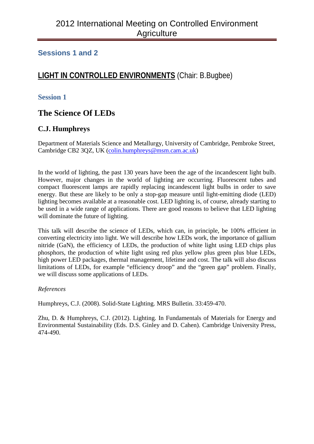## **Sessions 1 and 2**

## **LIGHT IN CONTROLLED ENVIRONMENTS** (Chair: B.Bugbee)

#### **Session 1**

## **The Science Of LEDs**

## **C.J. Humphreys**

Department of Materials Science and Metallurgy, University of Cambridge, Pembroke Street, Cambridge CB2 3QZ, UK [\(colin.humphreys@msm.cam.ac.uk\)](mailto:colin.humphreys@msm.cam.ac.uk)

In the world of lighting, the past 130 years have been the age of the incandescent light bulb. However, major changes in the world of lighting are occurring. Fluorescent tubes and compact fluorescent lamps are rapidly replacing incandescent light bulbs in order to save energy. But these are likely to be only a stop-gap measure until light-emitting diode (LED) lighting becomes available at a reasonable cost. LED lighting is, of course, already starting to be used in a wide range of applications. There are good reasons to believe that LED lighting will dominate the future of lighting.

This talk will describe the science of LEDs, which can, in principle, be 100% efficient in converting electricity into light. We will describe how LEDs work, the importance of gallium nitride (GaN), the efficiency of LEDs, the production of white light using LED chips plus phosphors, the production of white light using red plus yellow plus green plus blue LEDs, high power LED packages, thermal management, lifetime and cost. The talk will also discuss limitations of LEDs, for example "efficiency droop" and the "green gap" problem. Finally, we will discuss some applications of LEDs.

#### *References*

Humphreys, C.J. (2008). Solid-State Lighting. MRS Bulletin. 33:459-470.

Zhu, D. & Humphreys, C.J. (2012). Lighting. In Fundamentals of Materials for Energy and Environmental Sustainability (Eds. D.S. Ginley and D. Cahen). Cambridge University Press, 474-490.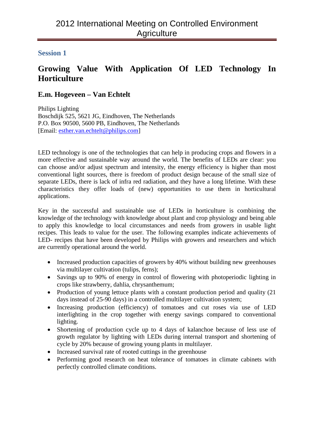# **Growing Value With Application Of LED Technology In Horticulture**

## **E.m. Hogeveen – Van Echtelt**

Philips Lighting Boschdijk 525, 5621 JG, Eindhoven, The Netherlands P.O. Box 90500, 5600 PB, Eindhoven, The Netherlands [Email: [esther.van.echtelt@philips.com\]](mailto:esther.van.echtelt@philips.com)

LED technology is one of the technologies that can help in producing crops and flowers in a more effective and sustainable way around the world. The benefits of LEDs are clear: you can choose and/or adjust spectrum and intensity, the energy efficiency is higher than most conventional light sources, there is freedom of product design because of the small size of separate LEDs, there is lack of infra red radiation, and they have a long lifetime. With these characteristics they offer loads of (new) opportunities to use them in horticultural applications.

Key in the successful and sustainable use of LEDs in horticulture is combining the knowledge of the technology with knowledge about plant and crop physiology and being able to apply this knowledge to local circumstances and needs from growers in usable light recipes. This leads to value for the user. The following examples indicate achievements of LED- recipes that have been developed by Philips with growers and researchers and which are currently operational around the world.

- Increased production capacities of growers by 40% without building new greenhouses via multilayer cultivation (tulips, ferns);
- Savings up to 90% of energy in control of flowering with photoperiodic lighting in crops like strawberry, dahlia, chrysanthemum;
- Production of young lettuce plants with a constant production period and quality (21) days instead of 25-90 days) in a controlled multilayer cultivation system;
- Increasing production (efficiency) of tomatoes and cut roses via use of LED interlighting in the crop together with energy savings compared to conventional lighting.
- Shortening of production cycle up to 4 days of kalanchoe because of less use of growth regulator by lighting with LEDs during internal transport and shortening of cycle by 20% because of growing young plants in multilayer.
- Increased survival rate of rooted cuttings in the greenhouse
- Performing good research on heat tolerance of tomatoes in climate cabinets with perfectly controlled climate conditions.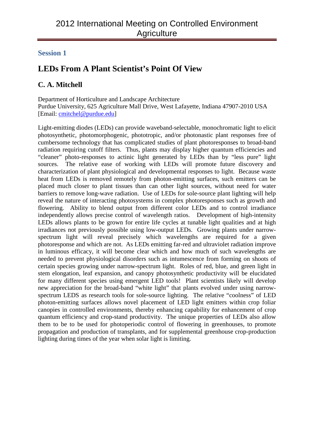# **LEDs From A Plant Scientist's Point Of View**

## **C. A. Mitchell**

Department of Horticulture and Landscape Architecture Purdue University, 625 Agriculture Mall Drive, West Lafayette, Indiana 47907-2010 USA [Email: [cmitchel@purdue.edu\]](mailto:cmitchel@purdue.edu)

Light-emitting diodes (LEDs) can provide waveband-selectable, monochromatic light to elicit photosynthetic, photomorphogenic, phototropic, and/or photonastic plant responses free of cumbersome technology that has complicated studies of plant photoresponses to broad-band radiation requiring cutoff filters. Thus, plants may display higher quantum efficiencies and "cleaner" photo-responses to actinic light generated by LEDs than by "less pure" light sources. The relative ease of working with LEDs will promote future discovery and characterization of plant physiological and developmental responses to light. Because waste heat from LEDs is removed remotely from photon-emitting surfaces, such emitters can be placed much closer to plant tissues than can other light sources, without need for water barriers to remove long-wave radiation. Use of LEDs for sole-source plant lighting will help reveal the nature of interacting photosystems in complex photoresponses such as growth and flowering. Ability to blend output from different color LEDs and to control irradiance independently allows precise control of wavelength ratios. Development of high-intensity LEDs allows plants to be grown for entire life cycles at tunable light qualities and at high irradiances not previously possible using low-output LEDs. Growing plants under narrowspectrum light will reveal precisely which wavelengths are required for a given photoresponse and which are not. As LEDs emitting far-red and ultraviolet radiation improve in luminous efficacy, it will become clear which and how much of such wavelengths are needed to prevent physiological disorders such as intumescence from forming on shoots of certain species growing under narrow-spectrum light. Roles of red, blue, and green light in stem elongation, leaf expansion, and canopy photosynthetic productivity will be elucidated for many different species using emergent LED tools! Plant scientists likely will develop new appreciation for the broad-band "white light" that plants evolved under using narrowspectrum LEDS as research tools for sole-source lighting. The relative "coolness" of LED photon-emitting surfaces allows novel placement of LED light emitters within crop foliar canopies in controlled environments, thereby enhancing capability for enhancement of crop quantum efficiency and crop-stand productivity. The unique properties of LEDs also allow them to be to be used for photoperiodic control of flowering in greenhouses, to promote propagation and production of transplants, and for supplemental greenhouse crop-production lighting during times of the year when solar light is limiting.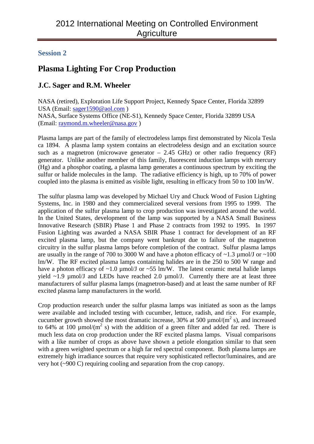# **Plasma Lighting For Crop Production**

## **J.C. Sager and R.M. Wheeler**

NASA (retired), Exploration Life Support Project, Kennedy Space Center, Florida 32899 USA (Email: [sager1590@aol.com](mailto:sager1590@aol.com) ) NASA, Surface Systems Office (NE-S1), Kennedy Space Center, Florida 32899 USA (Email: [raymond.m.wheeler@nasa.gov](mailto:raymond.m.wheeler@nasa.gov) )

Plasma lamps are part of the family of electrodeless lamps first demonstrated by Nicola Tesla ca 1894. A plasma lamp system contains an electrodeless design and an excitation source such as a magnetron (microwave generator  $-2.45$  GHz) or other radio frequency (RF) generator. Unlike another member of this family, fluorescent induction lamps with mercury (Hg) and a phosphor coating, a plasma lamp generates a continuous spectrum by exciting the sulfur or halide molecules in the lamp. The radiative efficiency is high, up to 70% of power coupled into the plasma is emitted as visible light, resulting in efficacy from 50 to 100 lm/W.

The sulfur plasma lamp was developed by Michael Ury and Chuck Wood of Fusion Lighting Systems, Inc. in 1980 and they commercialized several versions from 1995 to 1999. The application of the sulfur plasma lamp to crop production was investigated around the world. In the United States, development of the lamp was supported by a NASA Small Business Innovative Research (SBIR) Phase 1 and Phase 2 contracts from 1992 to 1995. In 1997 Fusion Lighting was awarded a NASA SBIR Phase 1 contract for development of an RF excited plasma lamp, but the company went bankrupt due to failure of the magnetron circuitry in the sulfur plasma lamps before completion of the contract. Sulfur plasma lamps are usually in the range of 700 to 3000 W and have a photon efficacy of  $\sim$ 1.3 µmol/J or  $\sim$ 100 lm/W. The RF excited plasma lamps containing halides are in the 250 to 500 W range and have a photon efficacy of  $\sim$ 1.0 µmol/J or  $\sim$ 55 lm/W. The latest ceramic metal halide lamps yield  $\sim$ 1.9 µmol/J and LEDs have reached 2.0 µmol/J. Currently there are at least three manufacturers of sulfur plasma lamps (magnetron-based) and at least the same number of RF excited plasma lamp manufacturers in the world.

Crop production research under the sulfur plasma lamps was initiated as soon as the lamps were available and included testing with cucumber, lettuce, radish, and rice. For example, cucumber growth showed the most dramatic increase, 30% at 500  $\mu$ mol/(m<sup>2</sup> s), and increased to 64% at 100  $\mu$ mol/(m<sup>2</sup> s) with the addition of a green filter and added far red. There is much less data on crop production under the RF excited plasma lamps. Visual comparisons with a like number of crops as above have shown a petiole elongation similar to that seen with a green weighted spectrum or a high far red spectral component. Both plasma lamps are extremely high irradiance sources that require very sophisticated reflector/luminaires, and are very hot (~900 C) requiring cooling and separation from the crop canopy.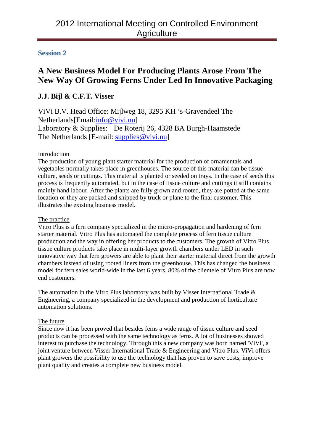# **A New Business Model For Producing Plants Arose From The New Way Of Growing Ferns Under Led In Innovative Packaging**

## **J.J. Bijl & C.F.T. Visser**

ViVi B.V. Head Office: Mijlweg 18, 3295 KH 's-Gravendeel The Netherlands[Email:info@vivi.nu] Laboratory & Supplies: De Roterij 26, 4328 BA Burgh-Haamstede The Netherlands [E-mail: supplies@vivi.nu]

#### Introduction

The production of young plant starter material for the production of ornamentals and vegetables normally takes place in greenhouses. The source of this material can be tissue culture, seeds or cuttings. This material is planted or seeded on trays. In the case of seeds this process is frequently automated, but in the case of tissue culture and cuttings it still contains mainly hand labour. After the plants are fully grown and rooted, they are potted at the same location or they are packed and shipped by truck or plane to the final customer. This illustrates the existing business model.

#### The practice

Vitro Plus is a fern company specialized in the micro-propagation and hardening of fern starter material. Vitro Plus has automated the complete process of fern tissue culture production and the way in offering her products to the customers. The growth of Vitro Plus tissue culture products take place in multi-layer growth chambers under LED in such innovative way that fern growers are able to plant their starter material direct from the growth chambers instead of using rooted liners from the greenhouse. This has changed the business model for fern sales world-wide in the last 6 years, 80% of the clientele of Vitro Plus are now end customers.

The automation in the Vitro Plus laboratory was built by Visser International Trade & Engineering, a company specialized in the development and production of horticulture automation solutions.

#### The future

Since now it has been proved that besides ferns a wide range of tissue culture and seed products can be processed with the same technology as ferns. A lot of businesses showed interest to purchase the technology. Through this a new company was born named 'ViVi', a joint venture between Visser International Trade & Engineering and Vitro Plus. ViVi offers plant growers the possibility to use the technology that has proven to save costs, improve plant quality and creates a complete new business model.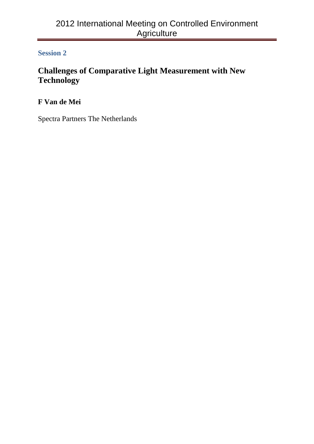# **Challenges of Comparative Light Measurement with New Technology**

**F Van de Mei**

Spectra Partners The Netherlands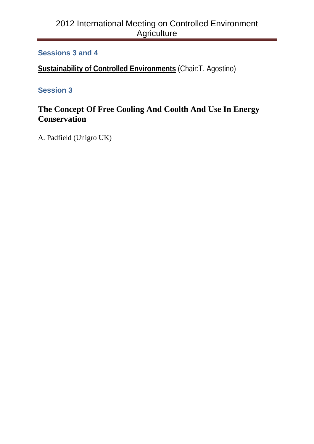## **Sessions 3 and 4**

**Sustainability of Controlled Environments** (Chair:T. Agostino)

# **Session 3**

# **The Concept Of Free Cooling And Coolth And Use In Energy Conservation**

A. Padfield (Unigro UK)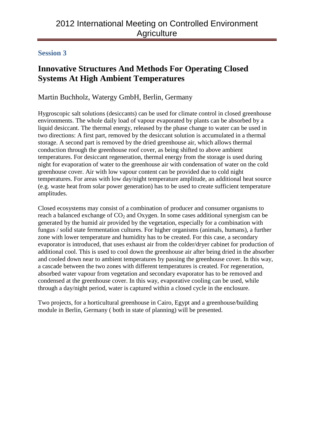# **Innovative Structures And Methods For Operating Closed Systems At High Ambient Temperatures**

## Martin Buchholz, Watergy GmbH, Berlin, Germany

Hygroscopic salt solutions (desiccants) can be used for climate control in closed greenhouse environments. The whole daily load of vapour evaporated by plants can be absorbed by a liquid desiccant. The thermal energy, released by the phase change to water can be used in two directions: A first part, removed by the desiccant solution is accumulated in a thermal storage. A second part is removed by the dried greenhouse air, which allows thermal conduction through the greenhouse roof cover, as being shifted to above ambient temperatures. For desiccant regeneration, thermal energy from the storage is used during night for evaporation of water to the greenhouse air with condensation of water on the cold greenhouse cover. Air with low vapour content can be provided due to cold night temperatures. For areas with low day/night temperature amplitude, an additional heat source (e.g. waste heat from solar power generation) has to be used to create sufficient temperature amplitudes.

Closed ecosystems may consist of a combination of producer and consumer organisms to reach a balanced exchange of  $CO<sub>2</sub>$  and Oxygen. In some cases additional synergism can be generated by the humid air provided by the vegetation, especially for a combination with fungus / solid state fermentation cultures. For higher organisms (animals, humans), a further zone with lower temperature and humidity has to be created. For this case, a secondary evaporator is introduced, that uses exhaust air from the colder/dryer cabinet for production of additional cool. This is used to cool down the greenhouse air after being dried in the absorber and cooled down near to ambient temperatures by passing the greenhouse cover. In this way, a cascade between the two zones with different temperatures is created. For regeneration, absorbed water vapour from vegetation and secondary evaporator has to be removed and condensed at the greenhouse cover. In this way, evaporative cooling can be used, while through a day/night period, water is captured within a closed cycle in the enclosure.

Two projects, for a horticultural greenhouse in Cairo, Egypt and a greenhouse/building module in Berlin, Germany ( both in state of planning) will be presented.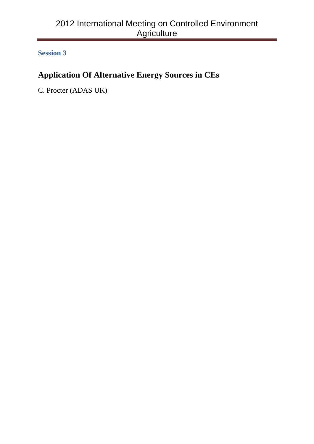# **Application Of Alternative Energy Sources in CEs**

C. Procter (ADAS UK)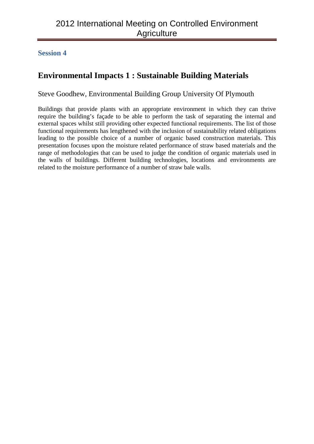#### **Session 4**

# **Environmental Impacts 1 : Sustainable Building Materials**

Steve Goodhew, Environmental Building Group University Of Plymouth

Buildings that provide plants with an appropriate environment in which they can thrive require the building's façade to be able to perform the task of separating the internal and external spaces whilst still providing other expected functional requirements. The list of those functional requirements has lengthened with the inclusion of sustainability related obligations leading to the possible choice of a number of organic based construction materials. This presentation focuses upon the moisture related performance of straw based materials and the range of methodologies that can be used to judge the condition of organic materials used in the walls of buildings. Different building technologies, locations and environments are related to the moisture performance of a number of straw bale walls.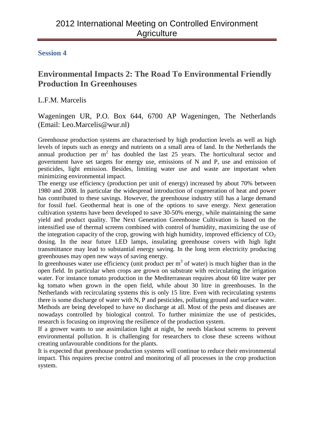# **Environmental Impacts 2: The Road To Environmental Friendly Production In Greenhouses**

L.F.M. Marcelis

Wageningen UR, P.O. Box 644, 6700 AP Wageningen, The Netherlands (Email: Leo.Marcelis@wur.nl)

Greenhouse production systems are characterised by high production levels as well as high levels of inputs such as energy and nutrients on a small area of land. In the Netherlands the annual production per  $m^2$  has doubled the last 25 years. The horticultural sector and government have set targets for energy use, emissions of N and P, use and emission of pesticides, light emission. Besides, limiting water use and waste are important when minimizing environmental impact.

The energy use efficiency (production per unit of energy) increased by about 70% between 1980 and 2008. In particular the widespread introduction of cogeneration of heat and power has contributed to these savings. However, the greenhouse industry still has a large demand for fossil fuel. Geothermal heat is one of the options to save energy. Next generation cultivation systems have been developed to save 30-50% energy, while maintaining the same yield and product quality. The Next Generation Greenhouse Cultivation is based on the intensified use of thermal screens combined with control of humidity, maximizing the use of the integration capacity of the crop, growing with high humidity, improved efficiency of  $CO<sub>2</sub>$ dosing. In the near future LED lamps, insulating greenhouse covers with high light transmittance may lead to substantial energy saving. In the long term electricity producing greenhouses may open new ways of saving energy.

In greenhouses water use efficiency (unit product per  $m<sup>3</sup>$  of water) is much higher than in the open field. In particular when crops are grown on substrate with recirculating the irrigation water. For instance tomato production in the Mediterranean requires about 60 litre water per kg tomato when grown in the open field, while about 30 litre in greenhouses. In the Netherlands with recirculating systems this is only 15 litre. Even with recirculating systems there is some discharge of water with N, P and pesticides, polluting ground and surface water. Methods are being developed to have no discharge at all. Most of the pests and diseases are nowadays controlled by biological control. To further minimize the use of pesticides, research is focusing on improving the resilience of the production system.

If a grower wants to use assimilation light at night, he needs blackout screens to prevent environmental pollution. It is challenging for researchers to close these screens without creating unfavourable conditions for the plants.

It is expected that greenhouse production systems will continue to reduce their environmental impact. This requires precise control and monitoring of all processes in the crop production system.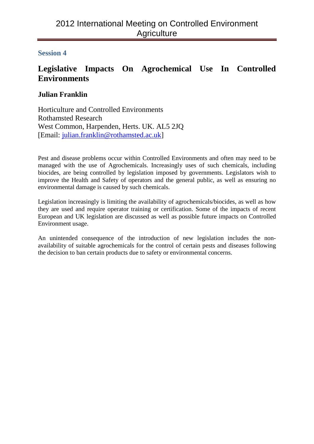# **Legislative Impacts On Agrochemical Use In Controlled Environments**

## **Julian Franklin**

Horticulture and Controlled Environments Rothamsted Research West Common, Harpenden, Herts. UK. AL5 2JQ [Email: [julian.franklin@rothamsted.ac.uk\]](mailto:julian.franklin@rothamsted.ac.uk)

Pest and disease problems occur within Controlled Environments and often may need to be managed with the use of Agrochemicals. Increasingly uses of such chemicals, including biocides, are being controlled by legislation imposed by governments. Legislators wish to improve the Health and Safety of operators and the general public, as well as ensuring no environmental damage is caused by such chemicals.

Legislation increasingly is limiting the availability of agrochemicals/biocides, as well as how they are used and require operator training or certification. Some of the impacts of recent European and UK legislation are discussed as well as possible future impacts on Controlled Environment usage.

An unintended consequence of the introduction of new legislation includes the nonavailability of suitable agrochemicals for the control of certain pests and diseases following the decision to ban certain products due to safety or environmental concerns.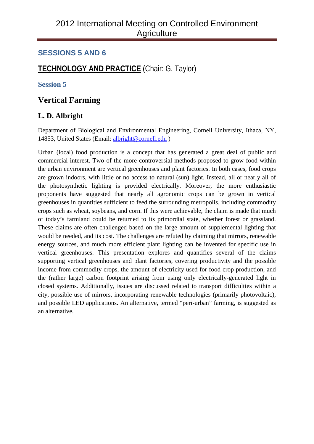## **SESSIONS 5 AND 6**

# **TECHNOLOGY AND PRACTICE** (Chair: G. Taylor)

#### **Session 5**

## **Vertical Farming**

## **L. D. Albright**

Department of Biological and Environmental Engineering, Cornell University, Ithaca, NY, 14853, United States (Email: [albright@cornell.edu](mailto:albright@cornell.edu) )

Urban (local) food production is a concept that has generated a great deal of public and commercial interest. Two of the more controversial methods proposed to grow food within the urban environment are vertical greenhouses and plant factories. In both cases, food crops are grown indoors, with little or no access to natural (sun) light. Instead, all or nearly all of the photosynthetic lighting is provided electrically. Moreover, the more enthusiastic proponents have suggested that nearly all agronomic crops can be grown in vertical greenhouses in quantities sufficient to feed the surrounding metropolis, including commodity crops such as wheat, soybeans, and corn. If this were achievable, the claim is made that much of today's farmland could be returned to its primordial state, whether forest or grassland. These claims are often challenged based on the large amount of supplemental lighting that would be needed, and its cost. The challenges are refuted by claiming that mirrors, renewable energy sources, and much more efficient plant lighting can be invented for specific use in vertical greenhouses. This presentation explores and quantifies several of the claims supporting vertical greenhouses and plant factories, covering productivity and the possible income from commodity crops, the amount of electricity used for food crop production, and the (rather large) carbon footprint arising from using only electrically-generated light in closed systems. Additionally, issues are discussed related to transport difficulties within a city, possible use of mirrors, incorporating renewable technologies (primarily photovoltaic), and possible LED applications. An alternative, termed "peri-urban" farming, is suggested as an alternative.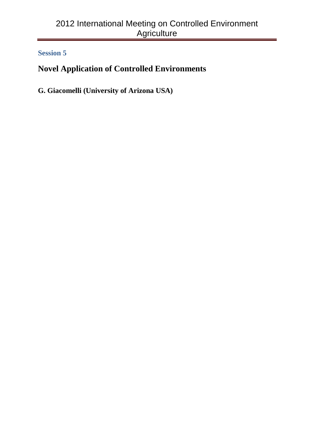# **Novel Application of Controlled Environments**

**G. Giacomelli (University of Arizona USA)**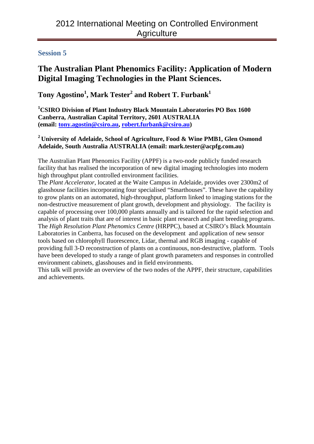# **The Australian Plant Phenomics Facility: Application of Modern Digital Imaging Technologies in the Plant Sciences.**

**Tony Agostino<sup>1</sup> , Mark Tester<sup>2</sup> and Robert T. Furbank1**

**1 CSIRO Division of Plant Industry Black Mountain Laboratories PO Box 1600 Canberra, Australian Capital Territory, 2601 AUSTRALIA (email: [tony.agostin@csiro.au,](mailto:tony.agostin@csiro.au) [robert.furbank@csiro.au\)](mailto:robert.furbank@csiro.au)**

#### **<sup>2</sup> University of Adelaide, School of Agriculture, Food & Wine PMB1, Glen Osmond Adelaide, South Australia AUSTRALIA (email: mark.tester@acpfg.com.au)**

The Australian Plant Phenomics Facility (APPF) is a two-node publicly funded research facility that has realised the incorporation of new digital imaging technologies into modern high throughput plant controlled environment facilities.

The *Plant Accelerator*, located at the Waite Campus in Adelaide, provides over 2300m2 of glasshouse facilities incorporating four specialised "Smarthouses". These have the capability to grow plants on an automated, high-throughput, platform linked to imaging stations for the non-destructive measurement of plant growth, development and physiology. The facility is capable of processing over 100,000 plants annually and is tailored for the rapid selection and analysis of plant traits that are of interest in basic plant research and plant breeding programs. The *High Resolution Plant Phenomics Centre* (HRPPC), based at CSIRO's Black Mountain Laboratories in Canberra, has focused on the development and application of new sensor tools based on chlorophyll fluorescence, Lidar, thermal and RGB imaging - capable of providing full 3-D reconstruction of plants on a continuous, non-destructive, platform. Tools have been developed to study a range of plant growth parameters and responses in controlled environment cabinets, glasshouses and in field environments.

This talk will provide an overview of the two nodes of the APPF, their structure, capabilities and achievements.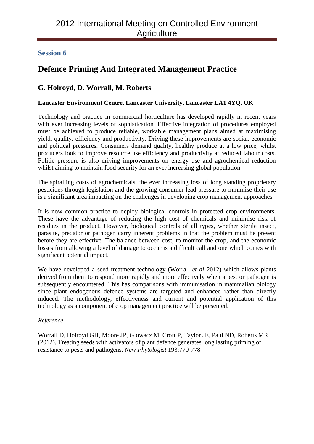# **Defence Priming And Integrated Management Practice**

## **G. Holroyd, D. Worrall, M. Roberts**

#### **Lancaster Environment Centre, Lancaster University, Lancaster LA1 4YQ, UK**

Technology and practice in commercial horticulture has developed rapidly in recent years with ever increasing levels of sophistication. Effective integration of procedures employed must be achieved to produce reliable, workable management plans aimed at maximising yield, quality, efficiency and productivity. Driving these improvements are social, economic and political pressures. Consumers demand quality, healthy produce at a low price, whilst producers look to improve resource use efficiency and productivity at reduced labour costs. Politic pressure is also driving improvements on energy use and agrochemical reduction whilst aiming to maintain food security for an ever increasing global population.

The spiralling costs of agrochemicals, the ever increasing loss of long standing proprietary pesticides through legislation and the growing consumer lead pressure to minimise their use is a significant area impacting on the challenges in developing crop management approaches.

It is now common practice to deploy biological controls in protected crop environments. These have the advantage of reducing the high cost of chemicals and minimise risk of residues in the product. However, biological controls of all types, whether sterile insect, parasite, predator or pathogen carry inherent problems in that the problem must be present before they are effective. The balance between cost, to monitor the crop, and the economic losses from allowing a level of damage to occur is a difficult call and one which comes with significant potential impact.

We have developed a seed treatment technology (Worrall *et al* 2012) which allows plants derived from them to respond more rapidly and more effectively when a pest or pathogen is subsequently encountered. This has comparisons with immunisation in mammalian biology since plant endogenous defence systems are targeted and enhanced rather than directly induced. The methodology, effectiveness and current and potential application of this technology as a component of crop management practice will be presented.

#### *Reference*

Worrall D, Holroyd GH, Moore JP, Glowacz M, Croft P, Taylor JE, Paul ND, Roberts MR (2012). Treating seeds with activators of plant defence generates long lasting priming of resistance to pests and pathogens. *New Phytologist* 193:770-778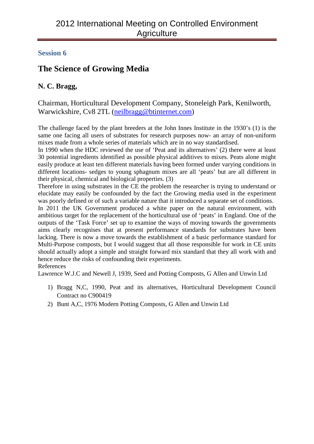# **The Science of Growing Media**

## **N. C. Bragg,**

Chairman, Horticultural Development Company, Stoneleigh Park, Kenilworth, Warwickshire, Cv8 2TL [\(neilbragg@btinternet.com\)](mailto:neilbragg@btinternet.com)

The challenge faced by the plant breeders at the John Innes Institute in the 1930's (1) is the same one facing all users of substrates for research purposes now- an array of non-uniform mixes made from a whole series of materials which are in no way standardised.

In 1990 when the HDC reviewed the use of 'Peat and its alternatives' (2) there were at least 30 potential ingredients identified as possible physical additives to mixes. Peats alone might easily produce at least ten different materials having been formed under varying conditions in different locations- sedges to young sphagnum mixes are all 'peats' but are all different in their physical, chemical and biological properties. (3)

Therefore in using substrates in the CE the problem the researcher is trying to understand or elucidate may easily be confounded by the fact the Growing media used in the experiment was poorly defined or of such a variable nature that it introduced a separate set of conditions.

In 2011 the UK Government produced a white paper on the natural environment, with ambitious target for the replacement of the horticultural use of 'peats' in England. One of the outputs of the 'Task Force' set up to examine the ways of moving towards the governments aims clearly recognises that at present performance standards for substrates have been lacking. There is now a move towards the establishment of a basic performance standard for Multi-Purpose composts, but I would suggest that all those responsible for work in CE units should actually adopt a simple and straight forward mix standard that they all work with and hence reduce the risks of confounding their experiments.

#### References

Lawrence W.J.C and Newell J, 1939, Seed and Potting Composts, G Allen and Unwin Ltd

- 1) Bragg N,C, 1990, Peat and its alternatives, Horticultural Development Council Contract no C900419
- 2) Bunt A,C, 1976 Modern Potting Composts, G Allen and Unwin Ltd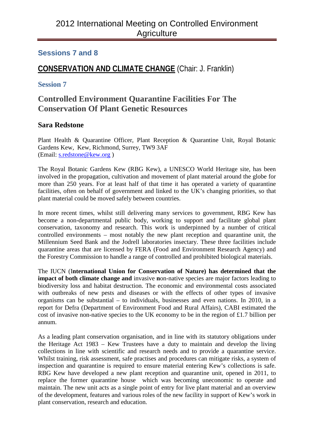## **Sessions 7 and 8**

## **CONSERVATION AND CLIMATE CHANGE** (Chair: J. Franklin)

#### **Session 7**

## **Controlled Environment Quarantine Facilities For The Conservation Of Plant Genetic Resources**

#### **Sara Redstone**

Plant Health & Quarantine Officer, Plant Reception & Quarantine Unit, Royal Botanic Gardens Kew, Kew, Richmond, Surrey, TW9 3AF (Email: [s.redstone@kew.org](mailto:s.redstone@kew.org) )

The Royal Botanic Gardens Kew (RBG Kew), a UNESCO World Heritage site, has been involved in the propagation, cultivation and movement of plant material around the globe for more than 250 years. For at least half of that time it has operated a variety of quarantine facilities, often on behalf of government and linked to the UK's changing priorities, so that plant material could be moved safely between countries.

In more recent times, whilst still delivering many services to government, RBG Kew has become a non-departmental public body, working to support and facilitate global plant conservation, taxonomy and research. This work is underpinned by a number of critical controlled environments – most notably the new plant reception and quarantine unit, the Millennium Seed Bank and the Jodrell laboratories insectary. These three facilities include quarantine areas that are licensed by FERA (Food and Environment Research Agency) and the Forestry Commission to handle a range of controlled and prohibited biological materials.

The IUCN (I**nternational Union for Conservation of Nature) has determined that the impact of both climate change and** invasive **n**on-native species are major factors leading to biodiversity loss and habitat destruction. The economic and environmental costs associated with outbreaks of new pests and diseases or with the effects of other types of invasive organisms can be substantial – to individuals, businesses and even nations. In 2010, in a report for Defra (Department of Environment Food and Rural Affairs), CABI estimated the cost of invasive non-native species to the UK economy to be in the region of £1.7 billion per annum.

As a leading plant conservation organisation, and in line with its statutory obligations under the Heritage Act 1983 – Kew Trustees have a duty to maintain and develop the living collections in line with scientific and research needs and to provide a quarantine service. Whilst training, risk assessment, safe practises and procedures can mitigate risks, a system of inspection and quarantine is required to ensure material entering Kew's collections is safe. RBG Kew have developed a new plant reception and quarantine unit, opened in 2011, to replace the former quarantine house which was becoming uneconomic to operate and maintain. The new unit acts as a single point of entry for live plant material and an overview of the development, features and various roles of the new facility in support of Kew's work in plant conservation, research and education.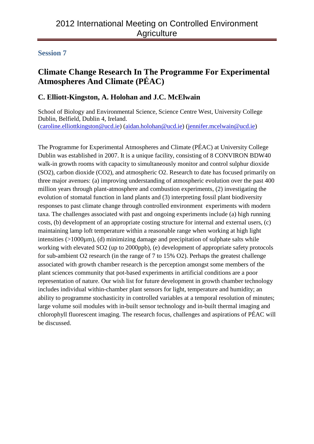# **Climate Change Research In The Programme For Experimental Atmospheres And Climate (PÉAC)**

## **C. Elliott-Kingston, A. Holohan and J.C. McElwain**

School of Biology and Environmental Science, Science Centre West, University College Dublin, Belfield, Dublin 4, Ireland. [\(caroline.elliottkingston@ucd.ie\)](mailto:caroline.elliottkingston@ucd.ie) [\(aidan.holohan@ucd.ie\)](mailto:aidan.holohan@ucd.ie) [\(jennifer.mcelwain@ucd.ie\)](mailto:jennifer.mcelwain@ucd.ie)

The Programme for Experimental Atmospheres and Climate (PÉAC) at University College Dublin was established in 2007. It is a unique facility, consisting of 8 CONVIRON BDW40 walk-in growth rooms with capacity to simultaneously monitor and control sulphur dioxide (SO2), carbon dioxide (CO2), and atmospheric O2. Research to date has focused primarily on three major avenues: (a) improving understanding of atmospheric evolution over the past 400 million years through plant-atmosphere and combustion experiments, (2) investigating the evolution of stomatal function in land plants and (3) interpreting fossil plant biodiversity responses to past climate change through controlled environment experiments with modern taxa. The challenges associated with past and ongoing experiments include (a) high running costs, (b) development of an appropriate costing structure for internal and external users, (c) maintaining lamp loft temperature within a reasonable range when working at high light intensities  $(>1000\mu m)$ , (d) minimizing damage and precipitation of sulphate salts while working with elevated SO2 (up to 2000ppb), (e) development of appropriate safety protocols for sub-ambient O2 research (in the range of 7 to 15% O2). Perhaps the greatest challenge associated with growth chamber research is the perception amongst some members of the plant sciences community that pot-based experiments in artificial conditions are a poor representation of nature. Our wish list for future development in growth chamber technology includes individual within-chamber plant sensors for light, temperature and humidity; an ability to programme stochasticity in controlled variables at a temporal resolution of minutes; large volume soil modules with in-built sensor technology and in-built thermal imaging and chlorophyll fluorescent imaging. The research focus, challenges and aspirations of PÉAC will be discussed.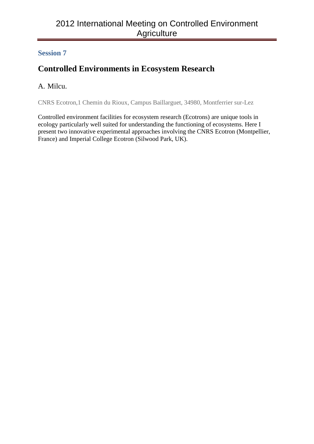# **Controlled Environments in Ecosystem Research**

## A. Milcu.

CNRS Ecotron,1 Chemin du Rioux, Campus Baillarguet, 34980, Montferrier sur-Lez

Controlled environment facilities for ecosystem research (Ecotrons) are unique tools in ecology particularly well suited for understanding the functioning of ecosystems. Here I present two innovative experimental approaches involving the CNRS Ecotron (Montpellier, France) and Imperial College Ecotron (Silwood Park, UK).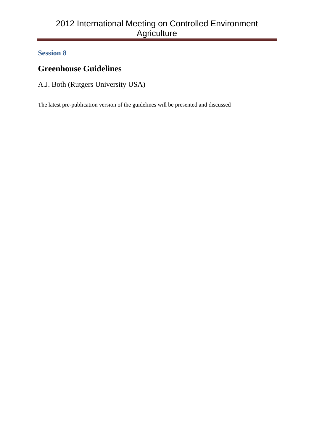# **Greenhouse Guidelines**

A.J. Both (Rutgers University USA)

The latest pre-publication version of the guidelines will be presented and discussed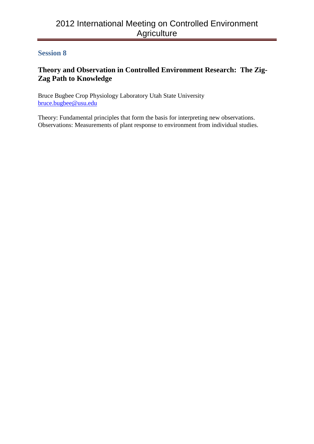## **Theory and Observation in Controlled Environment Research: The Zig-Zag Path to Knowledge**

Bruce Bugbee Crop Physiology Laboratory Utah State University [bruce.bugbee@usu.edu](mailto:bruce.bugbee@usu.edu)

Theory: Fundamental principles that form the basis for interpreting new observations. Observations: Measurements of plant response to environment from individual studies.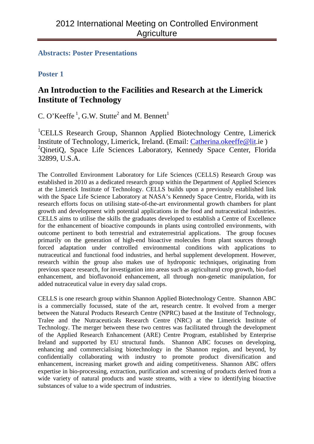#### **Abstracts: Poster Presentations**

## **Poster 1**

## **An Introduction to the Facilities and Research at the Limerick Institute of Technology**

C. O'Keeffe<sup>1</sup>, G.W. Stutte<sup>2</sup> and M. Bennett<sup>1</sup>

<sup>1</sup>CELLS Research Group, Shannon Applied Biotechnology Centre, Limerick Institute of Technology, Limerick, Ireland. (Email: [Catherina.okeeffe@lit.](mailto:Catherina.okeeffe@lit)ie ) <sup>2</sup>QinetiQ, Space Life Sciences Laboratory, Kennedy Space Center, Florida 32899, U.S.A.

The Controlled Environment Laboratory for Life Sciences (CELLS) Research Group was established in 2010 as a dedicated research group within the Department of Applied Sciences at the Limerick Institute of Technology. CELLS builds upon a previously established link with the Space Life Science Laboratory at NASA's Kennedy Space Centre, Florida, with its research efforts focus on utilising state-of-the-art environmental growth chambers for plant growth and development with potential applications in the food and nutraceutical industries. CELLS aims to utilise the skills the graduates developed to establish a Centre of Excellence for the enhancement of bioactive compounds in plants using controlled environments, with outcome pertinent to both terrestrial and extraterrestrial applications. The group focuses primarily on the generation of high-end bioactive molecules from plant sources through forced adaptation under controlled environmental conditions with applications to nutraceutical and functional food industries, and herbal supplement development. However, research within the group also makes use of hydroponic techniques, originating from previous space research, for investigation into areas such as agricultural crop growth, bio-fuel enhancement, and bioflavonoid enhancement, all through non-genetic manipulation, for added nutraceutical value in every day salad crops.

CELLS is one research group within Shannon Applied Biotechnology Centre. Shannon ABC is a commercially focussed, state of the art, research centre. It evolved from a merger between the Natural Products Research Centre (NPRC) based at the Institute of Technology, Tralee and the Nutraceuticals Research Centre (NRC) at the Limerick Institute of Technology. The merger between these two centres was facilitated through the development of the Applied Research Enhancement (ARE) Centre Program, established by Enterprise Ireland and supported by EU structural funds. Shannon ABC focuses on developing, enhancing and commercialising biotechnology in the Shannon region, and beyond, by confidentially collaborating with industry to promote product diversification and enhancement, increasing market growth and aiding competitiveness. Shannon ABC offers expertise in bio-processing, extraction, purification and screening of products derived from a wide variety of natural products and waste streams, with a view to identifying bioactive substances of value to a wide spectrum of industries.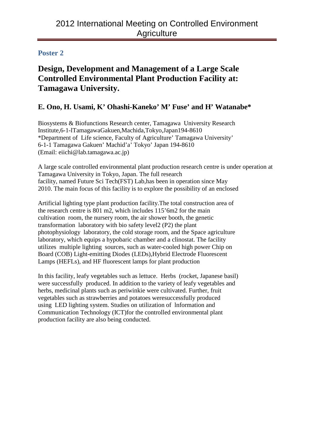# **Design, Development and Management of a Large Scale Controlled Environmental Plant Production Facility at: Tamagawa University.**

## **E. Ono, H. Usami, K' Ohashi-Kaneko' M' Fuse' and H' Watanabe\***

Biosystems & Biofunctions Research center, Tamagawa University Research Institute,6-1-lTamagawaGakuen,Machida,Tokyo,Japan194-8610 \*Department of Life science, Faculty of Agriculture' Tamagawa University' 6-1-1 Tamagawa Gakuen' Machid'a' Tokyo' Japan 194-8610 (Email: eiichi@lab.tamagawa.ac.jp)

A large scale controlled environmental plant production research centre is under operation at Tamagawa University in Tokyo, Japan. The full research facility, named Future Sci Tech(FST) Lab,has been in operation since May 2010. The main focus of this facility is to explore the possibility of an enclosed

Artificial lighting type plant production facility.The total construction area of the research centre is 801 m2, which includes 115'6m2 for the main cultivation room, the nursery room, the air shower booth, the genetic transformation laboratory with bio safety level2 (P2) the plant photophysiology laboratory, the cold storage room, and the Space agriculture laboratory, which equips a hypobaric chamber and a clinostat. The facility utilizes multiple lighting sources, such as water-cooled high power Chip on Board (COB) Light-emitting Diodes (LEDs),Hybrid Electrode Fluorescent Lamps (HEFLs), and HF fluorescent lamps for plant production

In this facility, leafy vegetables such as lettuce. Herbs (rocket, Japanese basil) were successfully produced. In addition to the variety of leafy vegetables and herbs, medicinal plants such as periwinkie were cultivated. Further, fruit vegetables such as strawberries and potatoes weresuccessfully produced using LED lighting system. Studies on utilization of lnformation and Communication Technology (ICT)for the controlled environmental plant production facility are also being conducted.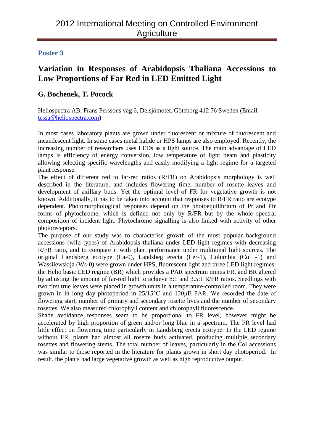# **Variation in Responses of Arabidopsis Thaliana Accessions to Low Proportions of Far Red in LED Emitted Light**

## **G. Bochenek, T. Pocock**

Heliospectra AB, Frans Perssons väg 6, Delsjömotet, Göteborg 412 76 Sweden (Email: [tessa@heliospectra.com\)](mailto:tessa@heliospectra.com)

In most cases laboratory plants are grown under fluorescent or mixture of fluorescent and incandescent light. In some cases metal halide or HPS lamps are also employed. Recently, the increasing number of researchers uses LEDs as a light source. The main advantage of LED lamps is efficiency of energy conversion, low temperature of light beam and plasticity allowing selecting specific wavelengths and easily modifying a light regime for a targeted plant response.

The effect of different red to far-red ratios (R/FR) on Arabidopsis morphology is well described in the literature, and includes flowering time, number of rosette leaves and development of axillary buds. Yet the optimal level of FR for vegetative growth is not known. Additionally, it has to be taken into account that responses to R/FR ratio are ecotype dependent. Photomorphological responses depend on the photoequilibrium of Pr and Pfr forms of phytochrome, which is defined not only by R/FR but by the whole spectral composition of incident light. Phytochrome signalling is also linked with activity of other photoreceptors.

The purpose of our study was to characterise growth of the most popular background accessions (wild types) of Arabidopsis thaliana under LED light regimes with decreasing R/FR ratio, and to compare it with plant performance under traditional light sources. The original Landsberg ecotype (La-0), Landsbeg erecta (Ler-1), Columbia (Col -1) and Wassilewskija (Ws-0) were grown under HPS, fluorescent light and three LED light regimes: the Helio basic LED regime (BR) which provides a PAR spectrum minus FR, and BR altered by adjusting the amount of far-red light to achieve 8:1 and 3.5:1 R/FR ratios. Seedlings with two first true leaves were placed in growth units in a temperature-controlled room. They were grown in in long day photoperiod in 25/15**°**C and 120μE PAR. We recorded the date of flowering start, number of primary and secondary rosette lives and the number of secondary rosettes. We also measured chlorophyll content and chlorophyll fluorescence.

Shade avoidance responses seam to be proportional to FR level, however might be accelerated by high proportion of green and/or long blue in a spectrum. The FR level had little effect on flowering time particularly in Landsberg erecta ecotype. In the LED regime without FR, plants had almost all rosette buds activated, producing multiple secondary rosettes and flowering stems. The total number of leaves, particularly in the Col accessions was similar to those reported in the literature for plants grown in short day photoperiod. In result, the plants had large vegetative growth as well as high reproductive output.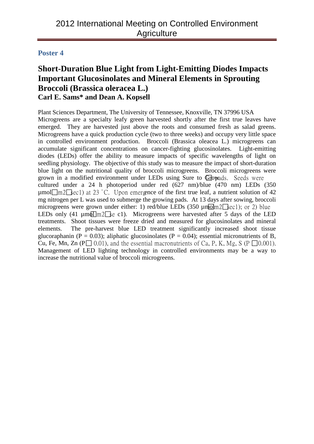## **Short-Duration Blue Light from Light-Emitting Diodes Impacts Important Glucosinolates and Mineral Elements in Sprouting Broccoli (Brassica oleracea L.) Carl E. Sams\* and Dean A. Kopsell**

Plant Sciences Department, The University of Tennessee, Knoxville, TN 37996 USA Microgreens are a specialty leafy green harvested shortly after the first true leaves have emerged. They are harvested just above the roots and consumed fresh as salad greens. Microgreens have a quick production cycle (two to three weeks) and occupy very little space in controlled environment production. Broccoli (Brassica oleacea L.) microgreens can accumulate significant concentrations on cancer-fighting glucosinolates. Light-emitting diodes (LEDs) offer the ability to measure impacts of specific wavelengths of light on seedling physiology. The objective of this study was to measure the impact of short-duration blue light on the nutritional quality of broccoli microgreens. Broccoli microgreens were grown in a modified environment under LEDs using Sure to Growads. Seeds were cultured under a 24 h photoperiod under red (627 nm)/blue (470 nm) LEDs (350  $\mu$ mol $\mu$ n $2\leq$ ec1) at 23 °C. Upon emergence of the first true leaf, a nutrient solution of 42 mg nitrogen per L was used to submerge the growing pads. At 13 days after sowing, broccoli microgreens were grown under either: 1) red/blue LEDs (350  $\mu$ molm2 $\sqrt{\sec 1}$ ); or 2) blue LEDs only (41  $\mu$ m $\sigma$ T<sub>m2</sub> $\Gamma$ <sub>ke</sub> c1). Microgreens were harvested after 5 days of the LED treatments. Shoot tissues were freeze dried and measured for glucosinolates and mineral elements. The pre-harvest blue LED treatment significantly increased shoot tissue glucoraphanin (P = 0.03); aliphatic glucosinolates (P = 0.04); essential micronutrients of B, Cu, Fe, Mn, Zn ( $P \Box$  0.01), and the essential macronutrients of Ca, P, K, Mg, S ( $P \Box$ 0.001). Management of LED lighting technology in controlled environments may be a way to increase the nutritional value of broccoli microgreens.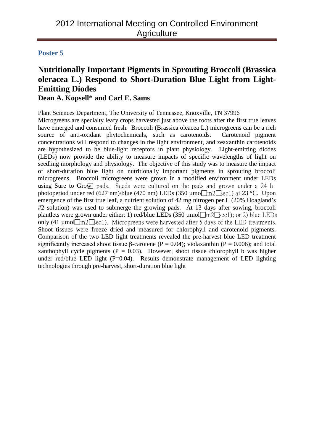# **Nutritionally Important Pigments in Sprouting Broccoli (Brassica oleracea L.) Respond to Short-Duration Blue Light from Light-Emitting Diodes**

## **Dean A. Kopsell\* and Carl E. Sams**

Plant Sciences Department, The University of Tennessee, Knoxville, TN 37996 Microgreens are specialty leafy crops harvested just above the roots after the first true leaves have emerged and consumed fresh. Broccoli (Brassica oleacea L.) microgreens can be a rich source of anti-oxidant phytochemicals, such as carotenoids. Carotenoid pigment concentrations will respond to changes in the light environment, and zeaxanthin carotenoids are hypothesized to be blue-light receptors in plant physiology. Light-emitting diodes (LEDs) now provide the ability to measure impacts of specific wavelengths of light on seedling morphology and physiology. The objective of this study was to measure the impact of short-duration blue light on nutritionally important pigments in sprouting broccoli microgreens. Broccoli microgreens were grown in a modified environment under LEDs using Sure to Grow pads. Seeds were cultured on the pads and grown under a 24 h photoperiod under red (627 nm)/blue (470 nm) LEDs (350  $\mu$ mo $\sqrt{m}$ 2 $\sqrt{sec}$ ) at 23 °C. Upon emergence of the first true leaf, a nutrient solution of 42 mg nitrogen per L (20% Hoagland's #2 solution) was used to submerge the growing pads. At 13 days after sowing, broccoli plantlets were grown under either: 1) red/blue LEDs (350  $\mu$ mol $\Box$ m2 $\Box$ sec1); or 2) blue LEDs only (41  $\mu$ mol $\mu$ n $2\text{Kecl}$ ). Microgreens were harvested after 5 days of the LED treatments. Shoot tissues were freeze dried and measured for chlorophyll and carotenoid pigments. Comparison of the two LED light treatments revealed the pre-harvest blue LED treatment significantly increased shoot tissue β-carotene ( $P = 0.04$ ); violaxanthin ( $P = 0.006$ ); and total xanthophyll cycle pigments ( $P = 0.03$ ). However, shoot tissue chlorophyll b was higher under red/blue LED light  $(P=0.04)$ . Results demonstrate management of LED lighting technologies through pre-harvest, short-duration blue light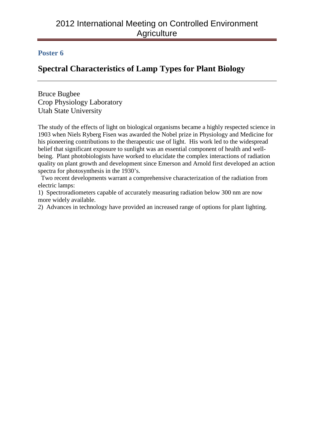# **Spectral Characteristics of Lamp Types for Plant Biology**

Bruce Bugbee Crop Physiology Laboratory Utah State University

The study of the effects of light on biological organisms became a highly respected science in 1903 when Niels Ryberg Fisen was awarded the Nobel prize in Physiology and Medicine for his pioneering contributions to the therapeutic use of light. His work led to the widespread belief that significant exposure to sunlight was an essential component of health and wellbeing. Plant photobiologists have worked to elucidate the complex interactions of radiation quality on plant growth and development since Emerson and Arnold first developed an action spectra for photosynthesis in the 1930's.

 Two recent developments warrant a comprehensive characterization of the radiation from electric lamps:

1) Spectroradiometers capable of accurately measuring radiation below 300 nm are now more widely available.

2) Advances in technology have provided an increased range of options for plant lighting.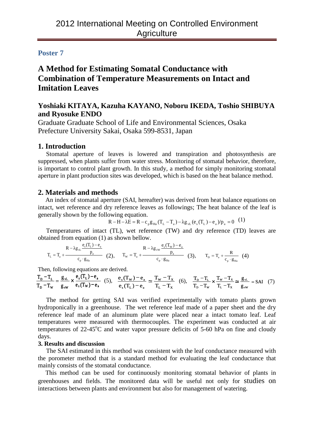## **A Method for Estimating Somatal Conductance with Combination of Temperature Measurements on Intact and Imitation Leaves**

## **Yoshiaki KITAYA, Kazuha KAYANO, Noboru IKEDA, Toshio SHIBUYA and Ryosuke ENDO**

Graduate Graduate School of Life and Environmental Sciences, Osaka Prefecture University Sakai, Osaka 599-8531, Japan

#### **1. Introduction**

Stomatal aperture of leaves is lowered and transpiration and photosynthesis are suppressed, when plants suffer from water stress. Monitoring of stomatal behavior, therefore, is important to control plant growth. In this study, a method for simply monitoring stomatal aperture in plant production sites was developed, which is based on the heat balance method.

#### **2. Materials and methods**

An index of stomatal aperture (SAI, hereafter) was derived from heat balance equations on intact, wet reference and dry reference leaves as followings; The heat balance of the leaf is generally shown by the following equation.

$$
R - H - \lambda E = R - c_p g_{Ha} (T_L - T_a) - \lambda g_{vL} (e_s (T_L) - e_a) / p_a = 0
$$
 (1)

Temperatures of intact (TL), wet reference (TW) and dry reference (TD) leaves are obtained from equation (1) as shown bellow.

$$
T_{_L}=T_{_a}+\frac{R-\lambda g_{_V L}\ \frac{e_s(T_{_L})-e_a}{p_a}}{c_{_p}\cdot g_{_{Ha}}}\quad \ \ (2),\qquad T_{_W}=T_{_a}+\frac{R-\lambda g_{_V W}\ \frac{e_s(T_{_W})-e_a}{p_a}}{c_{_p}\cdot g_{_{Ha}}}\quad \ \ (3),\qquad T_{_D}=T_{_a}+\frac{R}{c_{_p}\cdot g_{_{Ha}}}\quad \ \ (4)
$$

Then, following equations are derived.

$$
\frac{T_D - T_L}{T_D - T_w} = \frac{g_{vL}}{g_{vW}} \times \frac{e_s(T_L) - e_a}{e_s(T_W) - e_a} \quad (5), \quad \frac{e_s(T_w) - e_a}{e_s(T_L) - e_a} = \frac{T_w - T_x}{T_L - T_x} \quad (6), \quad \frac{T_D - T_L}{T_D - T_w} \times \frac{T_w - T_x}{T_L - T_x} = \frac{g_{vL}}{g_{vW}} = \text{SAI} \quad (7)
$$

The method for getting SAI was verified experimentally with tomato plants grown hydroponically in a greenhouse. The wet reference leaf made of a paper sheet and the dry reference leaf made of an aluminum plate were placed near a intact tomato leaf. Leaf temperatures were measured with thermocouples. The experiment was conducted at air temperatures of 22-45°C and water vapor pressure deficits of 5-60 hPa on fine and cloudy days.

#### **3. Results and discussion**

The SAI estimated in this method was consistent with the leaf conductance measured with the porometer method that is a standard method for evaluating the leaf conductance that mainly consists of the stomatal conductance.

This method can be used for continuously monitoring stomatal behavior of plants in greenhouses and fields. The monitored data will be useful not only for studies on interactions between plants and environment but also for management of watering.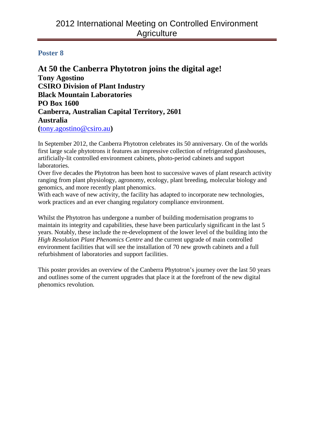**At 50 the Canberra Phytotron joins the digital age! Tony Agostino CSIRO Division of Plant Industry Black Mountain Laboratories PO Box 1600 Canberra, Australian Capital Territory, 2601 Australia (**[tony.agostino@csiro.au](mailto:tony.agostino@csiro.au)**)**

In September 2012, the Canberra Phytotron celebrates its 50 anniversary. On of the worlds first large scale phytotrons it features an impressive collection of refrigerated glasshouses, artificially-lit controlled environment cabinets, photo-period cabinets and support laboratories.

Over five decades the Phytotron has been host to successive waves of plant research activity ranging from plant physiology, agronomy, ecology, plant breeding, molecular biology and genomics, and more recently plant phenomics.

With each wave of new activity, the facility has adapted to incorporate new technologies, work practices and an ever changing regulatory compliance environment.

Whilst the Phytotron has undergone a number of building modernisation programs to maintain its integrity and capabilities, these have been particularly significant in the last 5 years. Notably, these include the re-development of the lower level of the building into the *High Resolution Plant Phenomics Centre* and the current upgrade of main controlled environment facilities that will see the installation of 70 new growth cabinets and a full refurbishment of laboratories and support facilities.

This poster provides an overview of the Canberra Phytotron's journey over the last 50 years and outlines some of the current upgrades that place it at the forefront of the new digital phenomics revolution*.*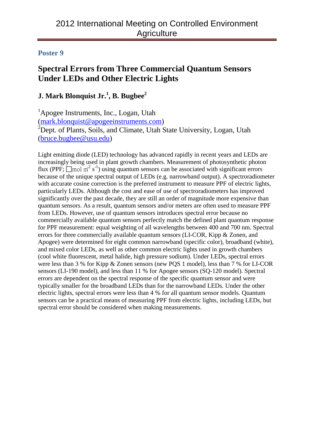# **Spectral Errors from Three Commercial Quantum Sensors Under LEDs and Other Electric Lights**

## **J. Mark Blonquist Jr.<sup>1</sup> , B. Bugbee2**

<sup>1</sup>Apogee Instruments, Inc., Logan, Utah [\(mark.blonquist@apogeeinstruments.com\)](mailto:mark.blonquist@apogeeinstruments.com) <sup>2</sup>Dept. of Plants, Soils, and Climate, Utah State University, Logan, Utah [\(bruce.bugbee@usu.edu\)](mailto:bruce.bugbee@usu.edu)

Light emitting diode (LED) technology has advanced rapidly in recent years and LEDs are increasingly being used in plant growth chambers. Measurement of photosynthetic photon flux (PPF;  $\Box$ mol m<sup>2</sup> s<sup>-1</sup>) using quantum sensors can be associated with significant errors because of the unique spectral output of LEDs (e.g. narrowband output). A spectroradiometer with accurate cosine correction is the preferred instrument to measure PPF of electric lights, particularly LEDs. Although the cost and ease of use of spectroradiometers has improved significantly over the past decade, they are still an order of magnitude more expensive than quantum sensors. As a result, quantum sensors and/or meters are often used to measure PPF from LEDs. However, use of quantum sensors introduces spectral error because no commercially available quantum sensors perfectly match the defined plant quantum response for PPF measurement: equal weighting of all wavelengths between 400 and 700 nm. Spectral errors for three commercially available quantum sensors (LI-COR, Kipp & Zonen, and Apogee) were determined for eight common narrowband (specific color), broadband (white), and mixed color LEDs, as well as other common electric lights used in growth chambers (cool white fluorescent, metal halide, high pressure sodium). Under LEDs, spectral errors were less than 3 % for Kipp & Zonen sensors (new PQS 1 model), less than 7 % for LI-COR sensors (LI-190 model), and less than 11 % for Apogee sensors (SQ-120 model). Spectral errors are dependent on the spectral response of the specific quantum sensor and were typically smaller for the broadband LEDs than for the narrowband LEDs. Under the other electric lights, spectral errors were less than 4 % for all quantum sensor models. Quantum sensors can be a practical means of measuring PPF from electric lights, including LEDs, but spectral error should be considered when making measurements.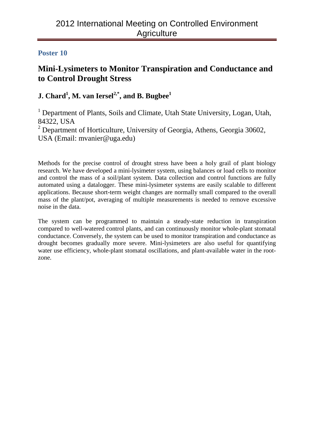# **Mini-Lysimeters to Monitor Transpiration and Conductance and to Control Drought Stress**

## $\mathbf{J.}$  Chard<sup>1</sup>, M. van Iersel<sup>2,\*</sup>, and B. Bugbee<sup>1</sup>

<sup>1</sup> Department of Plants, Soils and Climate, Utah State University, Logan, Utah, 84322, USA

 $2$  Department of Horticulture, University of Georgia, Athens, Georgia 30602, USA (Email: mvanier@uga.edu)

Methods for the precise control of drought stress have been a holy grail of plant biology research. We have developed a mini-lysimeter system, using balances or load cells to monitor and control the mass of a soil/plant system. Data collection and control functions are fully automated using a datalogger. These mini-lysimeter systems are easily scalable to different applications. Because short-term weight changes are normally small compared to the overall mass of the plant/pot, averaging of multiple measurements is needed to remove excessive noise in the data.

The system can be programmed to maintain a steady-state reduction in transpiration compared to well-watered control plants, and can continuously monitor whole-plant stomatal conductance. Conversely, the system can be used to monitor transpiration and conductance as drought becomes gradually more severe. Mini-lysimeters are also useful for quantifying water use efficiency, whole-plant stomatal oscillations, and plant-available water in the rootzone.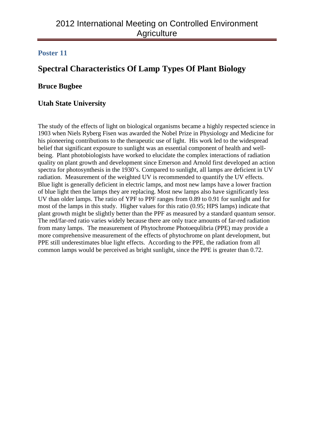# **Spectral Characteristics Of Lamp Types Of Plant Biology**

## **Bruce Bugbee**

## **Utah State University**

The study of the effects of light on biological organisms became a highly respected science in 1903 when Niels Ryberg Fisen was awarded the Nobel Prize in Physiology and Medicine for his pioneering contributions to the therapeutic use of light. His work led to the widespread belief that significant exposure to sunlight was an essential component of health and wellbeing. Plant photobiologists have worked to elucidate the complex interactions of radiation quality on plant growth and development since Emerson and Arnold first developed an action spectra for photosynthesis in the 1930's. Compared to sunlight, all lamps are deficient in UV radiation. Measurement of the weighted UV is recommended to quantify the UV effects. Blue light is generally deficient in electric lamps, and most new lamps have a lower fraction of blue light then the lamps they are replacing. Most new lamps also have significantly less UV than older lamps. The ratio of YPF to PPF ranges from 0.89 to 0.91 for sunlight and for most of the lamps in this study. Higher values for this ratio (0.95; HPS lamps) indicate that plant growth might be slightly better than the PPF as measured by a standard quantum sensor. The red/far-red ratio varies widely because there are only trace amounts of far-red radiation from many lamps. The measurement of Phytochrome Photoequlibria (PPE) may provide a more comprehensive measurement of the effects of phytochrome on plant development, but PPE still underestimates blue light effects. According to the PPE, the radiation from all common lamps would be perceived as bright sunlight, since the PPE is greater than 0.72.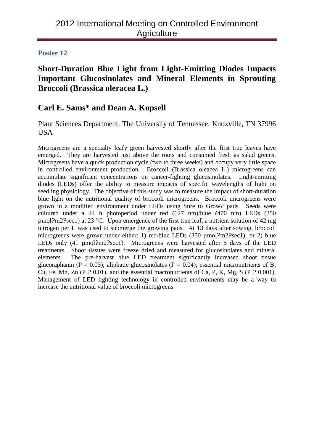## **Short-Duration Blue Light from Light-Emitting Diodes Impacts Important Glucosinolates and Mineral Elements in Sprouting Broccoli (Brassica oleracea L.)**

## **Carl E. Sams\* and Dean A. Kopsell**

Plant Sciences Department, The University of Tennessee, Knoxville, TN 37996 USA

Microgreens are a specialty leafy green harvested shortly after the first true leaves have emerged. They are harvested just above the roots and consumed fresh as salad greens. Microgreens have a quick production cycle (two to three weeks) and occupy very little space in controlled environment production. Broccoli (Brassica oleacea L.) microgreens can accumulate significant concentrations on cancer-fighting glucosinolates. Light-emitting diodes (LEDs) offer the ability to measure impacts of specific wavelengths of light on seedling physiology. The objective of this study was to measure the impact of short-duration blue light on the nutritional quality of broccoli microgreens. Broccoli microgreens were grown in a modified environment under LEDs using Sure to Grow? pads. Seeds were cultured under a 24 h photoperiod under red (627 nm)/blue (470 nm) LEDs (350  $\mu$ mol?m2?sec1) at 23 °C. Upon emergence of the first true leaf, a nutrient solution of 42 mg nitrogen per L was used to submerge the growing pads. At 13 days after sowing, broccoli microgreens were grown under either: 1) red/blue LEDs (350 umol?m2?sec1); or 2) blue LEDs only (41 µmol?m2?sec1). Microgreens were harvested after 5 days of the LED treatments. Shoot tissues were freeze dried and measured for glucosinolates and mineral elements. The pre-harvest blue LED treatment significantly increased shoot tissue glucoraphanin (P = 0.03); aliphatic glucosinolates (P = 0.04); essential micronutrients of B, Cu, Fe, Mn, Zn (P ? 0.01), and the essential macronutrients of Ca, P, K, Mg, S (P ? 0.001). Management of LED lighting technology in controlled environments may be a way to increase the nutritional value of broccoli microgreens.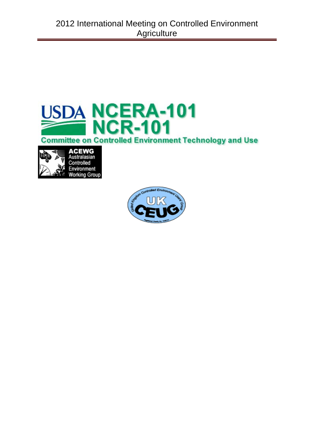



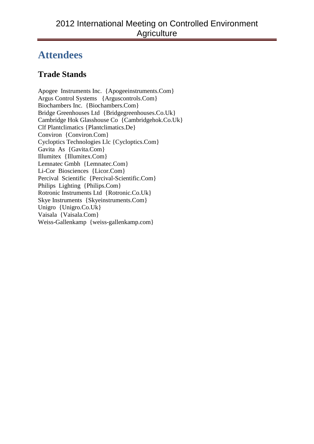# **Attendees**

# **Trade Stands**

Apogee Instruments Inc. {Apogeeinstruments.Com} Argus Control Systems {Arguscontrols.Com} Biochambers Inc. {Biochambers.Com} Bridge Greenhouses Ltd {Bridgegreenhouses.Co.Uk} Cambridge Hok Glasshouse Co {Cambridgehok.Co.Uk} Clf Plantclimatics {Plantclimatics.De} Conviron {Conviron.Com} Cycloptics Technologies Llc {Cycloptics.Com} Gavita As {Gavita.Com} Illumitex {Illumitex.Com} Lemnatec Gmbh {Lemnatec.Com} Li-Cor Biosciences {Licor.Com} Percival Scientific {Percival-Scientific.Com} Philips Lighting {Philips.Com} Rotronic Instruments Ltd {Rotronic.Co.Uk} Skye Instruments {Skyeinstruments.Com} Unigro {Unigro.Co.Uk} Vaisala {Vaisala.Com} Weiss-Gallenkamp {weiss-gallenkamp.com}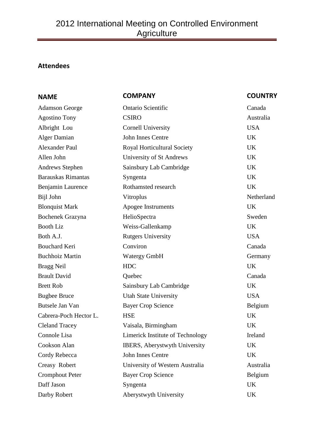## **Attendees**

| <b>NAME</b>               | <b>COMPANY</b>                        | <b>COUNTRY</b> |
|---------------------------|---------------------------------------|----------------|
| <b>Adamson George</b>     | <b>Ontario Scientific</b>             | Canada         |
| <b>Agostino Tony</b>      | <b>CSIRO</b>                          | Australia      |
| Albright Lou              | <b>Cornell University</b>             | <b>USA</b>     |
| <b>Alger Damian</b>       | <b>John Innes Centre</b>              | <b>UK</b>      |
| <b>Alexander Paul</b>     | <b>Royal Horticultural Society</b>    | UK             |
| Allen John                | University of St Andrews              | UK             |
| Andrews Stephen           | Sainsbury Lab Cambridge               | <b>UK</b>      |
| <b>Barauskas Rimantas</b> | Syngenta                              | <b>UK</b>      |
| Benjamin Laurence         | Rothamsted research                   | <b>UK</b>      |
| Bijl John                 | Vitroplus                             | Netherland     |
| <b>Blonquist Mark</b>     | Apogee Instruments                    | <b>UK</b>      |
| <b>Bochenek Grazyna</b>   | HelioSpectra                          | Sweden         |
| <b>Booth Liz</b>          | Weiss-Gallenkamp                      | <b>UK</b>      |
| Both A.J.                 | <b>Rutgers University</b>             | <b>USA</b>     |
| <b>Bouchard Keri</b>      | Conviron                              | Canada         |
| <b>Buchhoiz Martin</b>    | <b>Watergy GmbH</b>                   | Germany        |
| <b>Bragg Neil</b>         | <b>HDC</b>                            | <b>UK</b>      |
| <b>Brault David</b>       | Quebec                                | Canada         |
| <b>Brett Rob</b>          | Sainsbury Lab Cambridge               | <b>UK</b>      |
| <b>Bugbee Bruce</b>       | <b>Utah State University</b>          | <b>USA</b>     |
| Butsele Jan Van           | <b>Bayer Crop Science</b>             | Belgium        |
| Cabrera-Poch Hector L.    | <b>HSE</b>                            | UK             |
| <b>Cleland Tracey</b>     | Vaisala, Birmingham                   | <b>UK</b>      |
| Connole Lisa              | Limerick Institute of Technology      | Ireland        |
| Cookson Alan              | <b>IBERS</b> , Aberystwyth University | <b>UK</b>      |
| Cordy Rebecca             | John Innes Centre                     | UK             |
| Creasy Robert             | University of Western Australia       | Australia      |
| <b>Cromphout Peter</b>    | <b>Bayer Crop Science</b>             | Belgium        |
| Daff Jason                | Syngenta                              | <b>UK</b>      |
| Darby Robert              | Aberystwyth University                | UK             |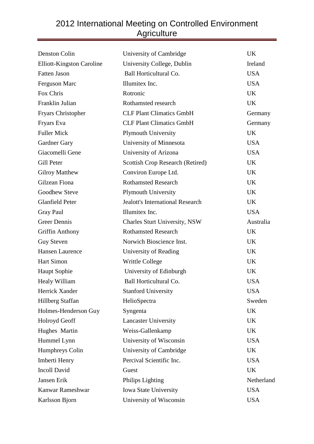| Denston Colin                    | University of Cambridge                 | <b>UK</b>  |
|----------------------------------|-----------------------------------------|------------|
| <b>Elliott-Kingston Caroline</b> | University College, Dublin              | Ireland    |
| <b>Fatten Jason</b>              | Ball Horticultural Co.                  | <b>USA</b> |
| Ferguson Marc                    | Illumitex Inc.                          | <b>USA</b> |
| Fox Chris                        | Rotronic                                | <b>UK</b>  |
| Franklin Julian                  | Rothamsted research                     | UK         |
| Fryars Christopher               | <b>CLF Plant Climatics GmbH</b>         | Germany    |
| Fryars Eva                       | <b>CLF Plant Climatics GmbH</b>         | Germany    |
| <b>Fuller Mick</b>               | <b>Plymouth University</b>              | <b>UK</b>  |
| Gardner Gary                     | University of Minnesota                 | <b>USA</b> |
| Giacomelli Gene                  | University of Arizona                   | <b>USA</b> |
| Gill Peter                       | <b>Scottish Crop Research (Retired)</b> | UK         |
| <b>Gilroy Matthew</b>            | Conviron Europe Ltd.                    | <b>UK</b>  |
| Gilzean Fiona                    | <b>Rothamsted Research</b>              | UK         |
| Goodhew Steve                    | <b>Plymouth University</b>              | <b>UK</b>  |
| <b>Glanfield Peter</b>           | <b>Jealott's International Research</b> | <b>UK</b>  |
| <b>Gray Paul</b>                 | Illumitex Inc.                          | <b>USA</b> |
| <b>Greer Dennis</b>              | <b>Charles Sturt University, NSW</b>    | Australia  |
| <b>Griffin Anthony</b>           | <b>Rothamsted Research</b>              | <b>UK</b>  |
| <b>Guy Steven</b>                | Norwich Bioscience Inst.                | <b>UK</b>  |
| <b>Hansen Laurence</b>           | University of Reading                   | <b>UK</b>  |
| <b>Hart Simon</b>                | <b>Writtle College</b>                  | <b>UK</b>  |
| <b>Haupt Sophie</b>              | University of Edinburgh                 | UK         |
| Healy William                    | Ball Horticultural Co.                  | <b>USA</b> |
| Herrick Xander                   | <b>Stanford University</b>              | <b>USA</b> |
| Hillberg Staffan                 | HelioSpectra                            | Sweden     |
| Holmes-Henderson Guy             | Syngenta                                | UK         |
| <b>Holroyd Geoff</b>             | <b>Lancaster University</b>             | UK         |
| Hughes Martin                    | Weiss-Gallenkamp                        | <b>UK</b>  |
| Hummel Lynn                      | University of Wisconsin                 | <b>USA</b> |
| <b>Humphreys Colin</b>           | University of Cambridge                 | UK         |
| Imberti Henry                    | Percival Scientific Inc.                | <b>USA</b> |
| <b>Incoll David</b>              | Guest                                   | <b>UK</b>  |
| Jansen Erik                      | Philips Lighting                        | Netherland |
| Kanwar Rameshwar                 | <b>Iowa State University</b>            | <b>USA</b> |
| Karlsson Bjorn                   | University of Wisconsin                 | <b>USA</b> |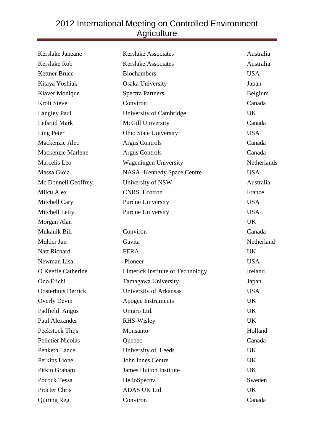| Kerslake Janeane         | <b>Kerslake Associates</b>        | Australia   |
|--------------------------|-----------------------------------|-------------|
| Kerslake Rob             | <b>Kerslake Associates</b>        | Australia   |
| <b>Kettner Bruce</b>     | <b>Biochambers</b>                | <b>USA</b>  |
| Kitaya Yoshiak           | Osaka University                  | Japan       |
| <b>Klaver Monique</b>    | <b>Spectra Partners</b>           | Belgium     |
| <b>Kroft Steve</b>       | Conviron                          | Canada      |
| <b>Langley Paul</b>      | University of Cambridge           | <b>UK</b>   |
| Lefsrud Mark             | McGill University                 | Canada      |
| Ling Peter               | <b>Ohio State University</b>      | <b>USA</b>  |
| Mackenzie Alec           | <b>Argus Controls</b>             | Canada      |
| Mackenzie Marlene        | <b>Argus Controls</b>             | Canada      |
| Marcelis Leo             | <b>Wageningen University</b>      | Netherlands |
| Massa Gioia              | <b>NASA -Kennedy Space Centre</b> | <b>USA</b>  |
| Mc Donnell Geoffrey      | University of NSW                 | Australia   |
| Milcu Alex               | <b>CNRS</b> Ecotron               | France      |
| Mitchell Cary            | <b>Purdue University</b>          | <b>USA</b>  |
| Mitchell Letty           | <b>Purdue University</b>          | <b>USA</b>  |
| Morgan Alan              |                                   | <b>UK</b>   |
| Mukanik Bill             | Conviron                          | Canada      |
| Mulder Jan               | Gavita                            | Netherland  |
| Natt Richard             | <b>FERA</b>                       | <b>UK</b>   |
| Newman Lisa              | Pioneer                           | <b>USA</b>  |
| O Keeffe Catherine       | Limerick Institute of Technology  | Ireland     |
| Ono Eiichi               | Tamagawa University               | Japan       |
| Oosterhuis Derrick       | University of Arkansas            | <b>USA</b>  |
| Overly Devin             | Apogee Instruments                | UK          |
| Padfield Angus           | Unigro Ltd.                       | <b>UK</b>   |
| Paul Alexander           | RHS-Wisley                        | <b>UK</b>   |
| Peekstock Thijs          | Monsanto                          | Holland     |
| <b>Pelletier Nicolas</b> | Quebec                            | Canada      |
| Penketh Lance            | University of Leeds               | UK          |
| Perkins Lionel           | John Innes Centre                 | <b>UK</b>   |
| Pitkin Graham            | <b>James Hutton Institute</b>     | UK          |
| Pocock Tessa             | HelioSpectra                      | Sweden      |
| Procter Chris            | <b>ADAS UK Ltd</b>                | UK          |
| Quiring Reg              | Conviron                          | Canada      |